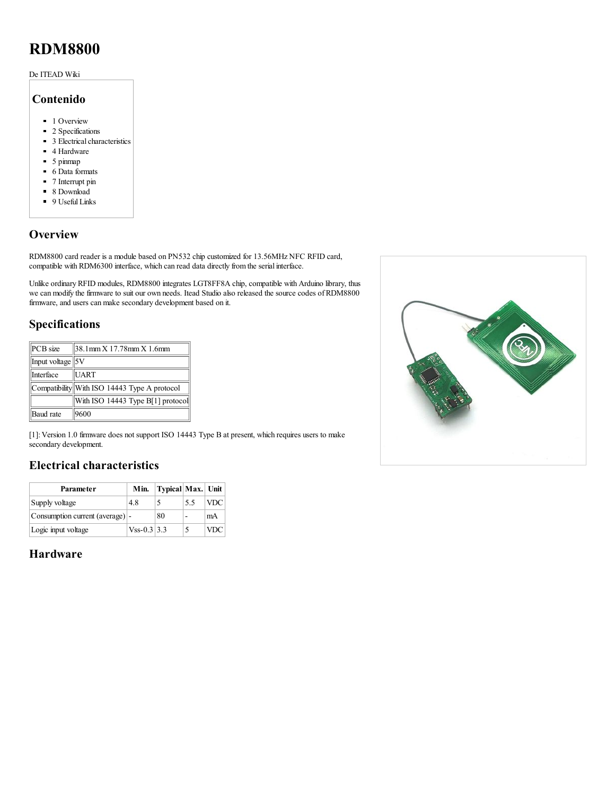# RDM8800

#### De ITEAD Wiki

#### Contenido

- 1 [Overview](#page-0-0)
- 2 [Specifications](#page-0-1)
- 3 Electrical [characteristics](#page-0-2)
- 4 [Hardware](#page-0-3)
- 5 [pinmap](#page-1-0)
- 6 Data [formats](#page-1-1)
- 7 [Interrupt](#page-1-2) pin
- 8 [Download](#page-2-0)
- 9 [Useful](#page-2-1) Links

#### <span id="page-0-0"></span>**Overview**

RDM8800 card reader is a module based on PN532 chip customized for 13.56MHz NFC RFID card, compatible with [RDM6300](http://wiki.iteadstudio.com/RDM6300) interface, which can read data directly from the serial interface.

Unlike ordinary RFID modules, RDM8800 integrates LGT8FF8A chip, compatible with Arduino library, thus we can modify the firmware to suit our own needs. Itead Studio also released the source codes of RDM8800 firmware, and users can make secondary development based on it.

#### <span id="page-0-1"></span>Specifications

| PCB size             | $38.1$ mm $X$ 17.78mm $X$ 1.6mm              |  |  |
|----------------------|----------------------------------------------|--|--|
| Input voltage $ 5V $ |                                              |  |  |
| Interface            | <b>UART</b>                                  |  |  |
|                      | Compatibility With ISO 14443 Type A protocol |  |  |
|                      | With ISO 14443 Type B[1] protocol            |  |  |
| Baud rate            | 9600                                         |  |  |

[1]: Version 1.0 firmware does not support ISO 14443 Type B at present, which requires users to make secondary development.

#### <span id="page-0-2"></span>Electrical characteristics

| Parameter                        | Min.           | Typical Max. Unit |    |            |
|----------------------------------|----------------|-------------------|----|------------|
| Supply voltage                   | 4.8            |                   | 55 | <b>VDC</b> |
| Consumption current (average)  - |                | 80                |    | mA         |
| Logic input voltage              | $V$ ss-0.3 3.3 |                   |    | VDC        |

# <span id="page-0-3"></span>Hardware

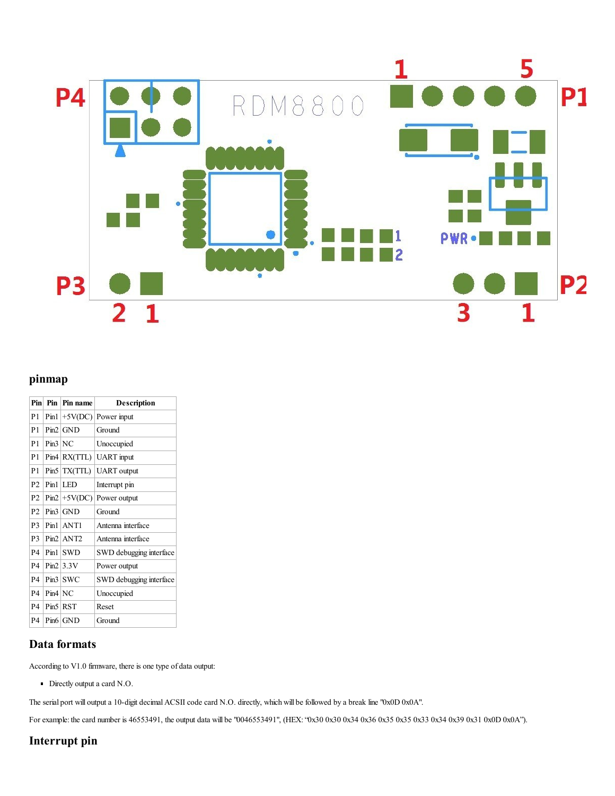

# <span id="page-1-0"></span>pinmap

| $P_{in}$       |           | Pin Pin name     | <b>Description</b>      |
|----------------|-----------|------------------|-------------------------|
| P1             |           | $Pin1 +5V(DC)$   | Power input             |
| P1             |           | Pin2 GND         | Ground                  |
| P1             | Pin3 NC   |                  | Unoccupied              |
| P1             |           | $Pin4$ $RX(TTL)$ | <b>UART</b> input       |
| P1             |           | Pin5   TX(TTL)   | <b>UART</b> output      |
| P <sub>2</sub> |           | $Pin1$ LED       | Interrupt pin           |
| P <sub>2</sub> |           | $Pin2 +5V(DC)$   | Power output            |
| P <sub>2</sub> |           | Pin3 GND         | Ground                  |
| P <sub>3</sub> |           | $Pin1$   ANT1    | Antenna interface       |
| P <sub>3</sub> |           | $Pin2$   ANT2    | Antenna interface       |
| P4             |           | $Pin1$ SWD       | SWD debugging interface |
| P4             |           | $Pin2$ 3.3V      | Power output            |
| P <sub>4</sub> |           | $Pin3$ SWC       | SWD debugging interface |
| <b>P4</b>      | $Pin4$ NC |                  | Unoccupied              |
| <b>P4</b>      |           | Pin5 RST         | Reset                   |
| P4             |           | Pin6 GND         | Ground                  |

# <span id="page-1-1"></span>Data formats

According to V1.0 firmware, there is one type of data output:

Directly output a card N.O.

The serial port will output a 10-digit decimal ACSII code card N.O. directly, which will be followed by a break line "0x0D 0x0A".

For example: the card number is 46553491, the output data will be "0046553491", (HEX: "0x30 0x30 0x34 0x36 0x35 0x35 0x33 0x34 0x39 0x31 0x0D 0x0A").

# <span id="page-1-2"></span>Interrupt pin